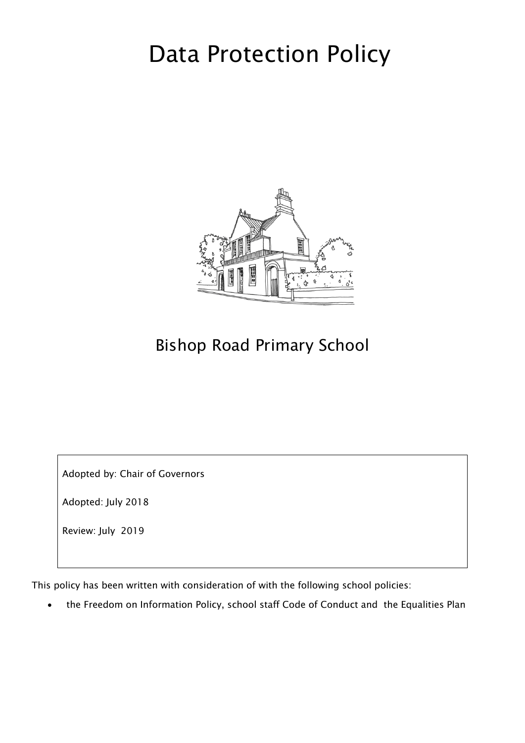# Data Protection Policy



# Bishop Road Primary School

Adopted by: Chair of Governors

Adopted: July 2018

Review: July 2019

This policy has been written with consideration of with the following school policies:

the Freedom on Information Policy, school staff Code of Conduct and the Equalities Plan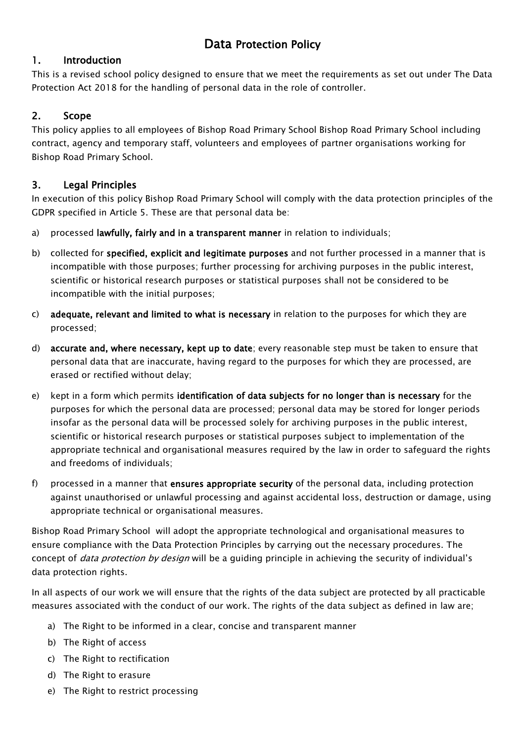## Data Protection Policy

#### 1. Introduction

This is a revised school policy designed to ensure that we meet the requirements as set out under The Data Protection Act 2018 for the handling of personal data in the role of controller.

#### 2. Scope

This policy applies to all employees of Bishop Road Primary School Bishop Road Primary School including contract, agency and temporary staff, volunteers and employees of partner organisations working for Bishop Road Primary School.

#### 3. Legal Principles

In execution of this policy Bishop Road Primary School will comply with the data protection principles of the GDPR specified in Article 5. These are that personal data be:

- a) processed lawfully, fairly and in a transparent manner in relation to individuals;
- b) collected for specified, explicit and legitimate purposes and not further processed in a manner that is incompatible with those purposes; further processing for archiving purposes in the public interest, scientific or historical research purposes or statistical purposes shall not be considered to be incompatible with the initial purposes;
- c) adequate, relevant and limited to what is necessary in relation to the purposes for which they are processed;
- d) accurate and, where necessary, kept up to date; every reasonable step must be taken to ensure that personal data that are inaccurate, having regard to the purposes for which they are processed, are erased or rectified without delay;
- e) kept in a form which permits identification of data subjects for no longer than is necessary for the purposes for which the personal data are processed; personal data may be stored for longer periods insofar as the personal data will be processed solely for archiving purposes in the public interest, scientific or historical research purposes or statistical purposes subject to implementation of the appropriate technical and organisational measures required by the law in order to safeguard the rights and freedoms of individuals;
- f) processed in a manner that ensures appropriate security of the personal data, including protection against unauthorised or unlawful processing and against accidental loss, destruction or damage, using appropriate technical or organisational measures.

Bishop Road Primary School will adopt the appropriate technological and organisational measures to ensure compliance with the Data Protection Principles by carrying out the necessary procedures. The concept of *data protection by design* will be a guiding principle in achieving the security of individual's data protection rights.

In all aspects of our work we will ensure that the rights of the data subject are protected by all practicable measures associated with the conduct of our work. The rights of the data subject as defined in law are;

- a) The Right to be informed in a clear, concise and transparent manner
- b) The Right of access
- c) The Right to rectification
- d) The Right to erasure
- e) The Right to restrict processing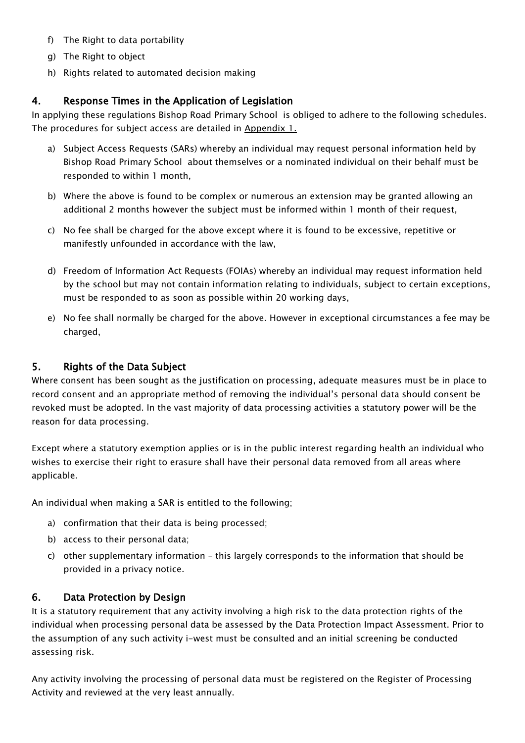- f) The Right to data portability
- g) The Right to object
- h) Rights related to automated decision making

#### 4. Response Times in the Application of Legislation

In applying these regulations Bishop Road Primary School is obliged to adhere to the following schedules. The procedures for subject access are detailed in [Appendix 1.](#page-4-0)

- a) Subject Access Requests (SARs) whereby an individual may request personal information held by Bishop Road Primary School about themselves or a nominated individual on their behalf must be responded to within 1 month,
- b) Where the above is found to be complex or numerous an extension may be granted allowing an additional 2 months however the subject must be informed within 1 month of their request,
- c) No fee shall be charged for the above except where it is found to be excessive, repetitive or manifestly unfounded in accordance with the law,
- d) Freedom of Information Act Requests (FOIAs) whereby an individual may request information held by the school but may not contain information relating to individuals, subject to certain exceptions, must be responded to as soon as possible within 20 working days,
- e) No fee shall normally be charged for the above. However in exceptional circumstances a fee may be charged,

#### 5. Rights of the Data Subject

Where consent has been sought as the justification on processing, adequate measures must be in place to record consent and an appropriate method of removing the individual's personal data should consent be revoked must be adopted. In the vast majority of data processing activities a statutory power will be the reason for data processing.

Except where a statutory exemption applies or is in the public interest regarding health an individual who wishes to exercise their right to erasure shall have their personal data removed from all areas where applicable.

An individual when making a SAR is entitled to the following;

- a) confirmation that their data is being processed;
- b) access to their personal data;
- c) other supplementary information this largely corresponds to the information that should be provided in a privacy notice.

#### 6. Data Protection by Design

It is a statutory requirement that any activity involving a high risk to the data protection rights of the individual when processing personal data be assessed by the Data Protection Impact Assessment. Prior to the assumption of any such activity i-west must be consulted and an initial screening be conducted assessing risk.

Any activity involving the processing of personal data must be registered on the Register of Processing Activity and reviewed at the very least annually.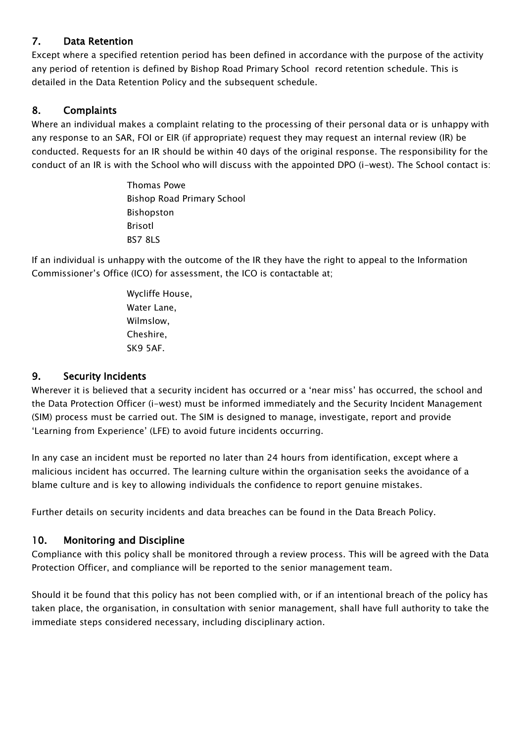#### 7. Data Retention

Except where a specified retention period has been defined in accordance with the purpose of the activity any period of retention is defined by Bishop Road Primary School record retention schedule. This is detailed in the Data Retention Policy and the subsequent schedule.

#### 8. Complaints

Where an individual makes a complaint relating to the processing of their personal data or is unhappy with any response to an SAR, FOI or EIR (if appropriate) request they may request an internal review (IR) be conducted. Requests for an IR should be within 40 days of the original response. The responsibility for the conduct of an IR is with the School who will discuss with the appointed DPO (i-west). The School contact is:

> Thomas Powe Bishop Road Primary School Bishopston Brisotl BS7 8LS

If an individual is unhappy with the outcome of the IR they have the right to appeal to the Information Commissioner's Office (ICO) for assessment, the ICO is contactable at;

> Wycliffe House, Water Lane, Wilmslow, Cheshire, SK9 5AF.

#### 9. Security Incidents

Wherever it is believed that a security incident has occurred or a 'near miss' has occurred, the school and the Data Protection Officer (i-west) must be informed immediately and the Security Incident Management (SIM) process must be carried out. The SIM is designed to manage, investigate, report and provide 'Learning from Experience' (LFE) to avoid future incidents occurring.

In any case an incident must be reported no later than 24 hours from identification, except where a malicious incident has occurred. The learning culture within the organisation seeks the avoidance of a blame culture and is key to allowing individuals the confidence to report genuine mistakes.

Further details on security incidents and data breaches can be found in the Data Breach Policy.

#### 10. Monitoring and Discipline

Compliance with this policy shall be monitored through a review process. This will be agreed with the Data Protection Officer, and compliance will be reported to the senior management team.

Should it be found that this policy has not been complied with, or if an intentional breach of the policy has taken place, the organisation, in consultation with senior management, shall have full authority to take the immediate steps considered necessary, including disciplinary action.